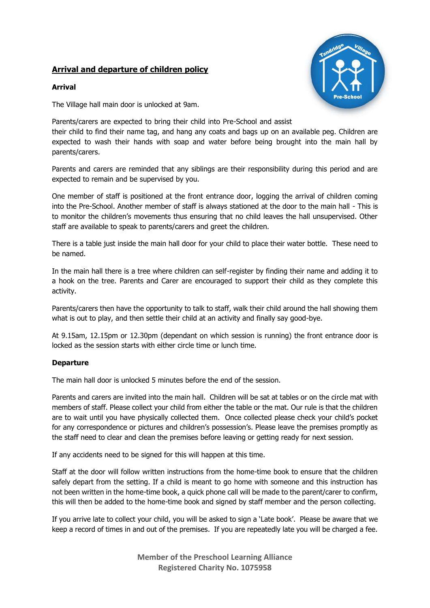## **Arrival and departure of children policy**



## **Arrival**

The Village hall main door is unlocked at 9am.

Parents/carers are expected to bring their child into Pre-School and assist

their child to find their name tag, and hang any coats and bags up on an available peg. Children are expected to wash their hands with soap and water before being brought into the main hall by parents/carers.

Parents and carers are reminded that any siblings are their responsibility during this period and are expected to remain and be supervised by you.

One member of staff is positioned at the front entrance door, logging the arrival of children coming into the Pre-School. Another member of staff is always stationed at the door to the main hall - This is to monitor the children's movements thus ensuring that no child leaves the hall unsupervised. Other staff are available to speak to parents/carers and greet the children.

There is a table just inside the main hall door for your child to place their water bottle. These need to be named.

In the main hall there is a tree where children can self-register by finding their name and adding it to a hook on the tree. Parents and Carer are encouraged to support their child as they complete this activity.

Parents/carers then have the opportunity to talk to staff, walk their child around the hall showing them what is out to play, and then settle their child at an activity and finally say good-bye.

At 9.15am, 12.15pm or 12.30pm (dependant on which session is running) the front entrance door is locked as the session starts with either circle time or lunch time.

## **Departure**

The main hall door is unlocked 5 minutes before the end of the session.

Parents and carers are invited into the main hall. Children will be sat at tables or on the circle mat with members of staff. Please collect your child from either the table or the mat. Our rule is that the children are to wait until you have physically collected them. Once collected please check your child's pocket for any correspondence or pictures and children's possession's. Please leave the premises promptly as the staff need to clear and clean the premises before leaving or getting ready for next session.

If any accidents need to be signed for this will happen at this time.

Staff at the door will follow written instructions from the home-time book to ensure that the children safely depart from the setting. If a child is meant to go home with someone and this instruction has not been written in the home-time book, a quick phone call will be made to the parent/carer to confirm, this will then be added to the home-time book and signed by staff member and the person collecting.

If you arrive late to collect your child, you will be asked to sign a 'Late book'. Please be aware that we keep a record of times in and out of the premises. If you are repeatedly late you will be charged a fee.

> **Member of the Preschool Learning Alliance Registered Charity No. 1075958**